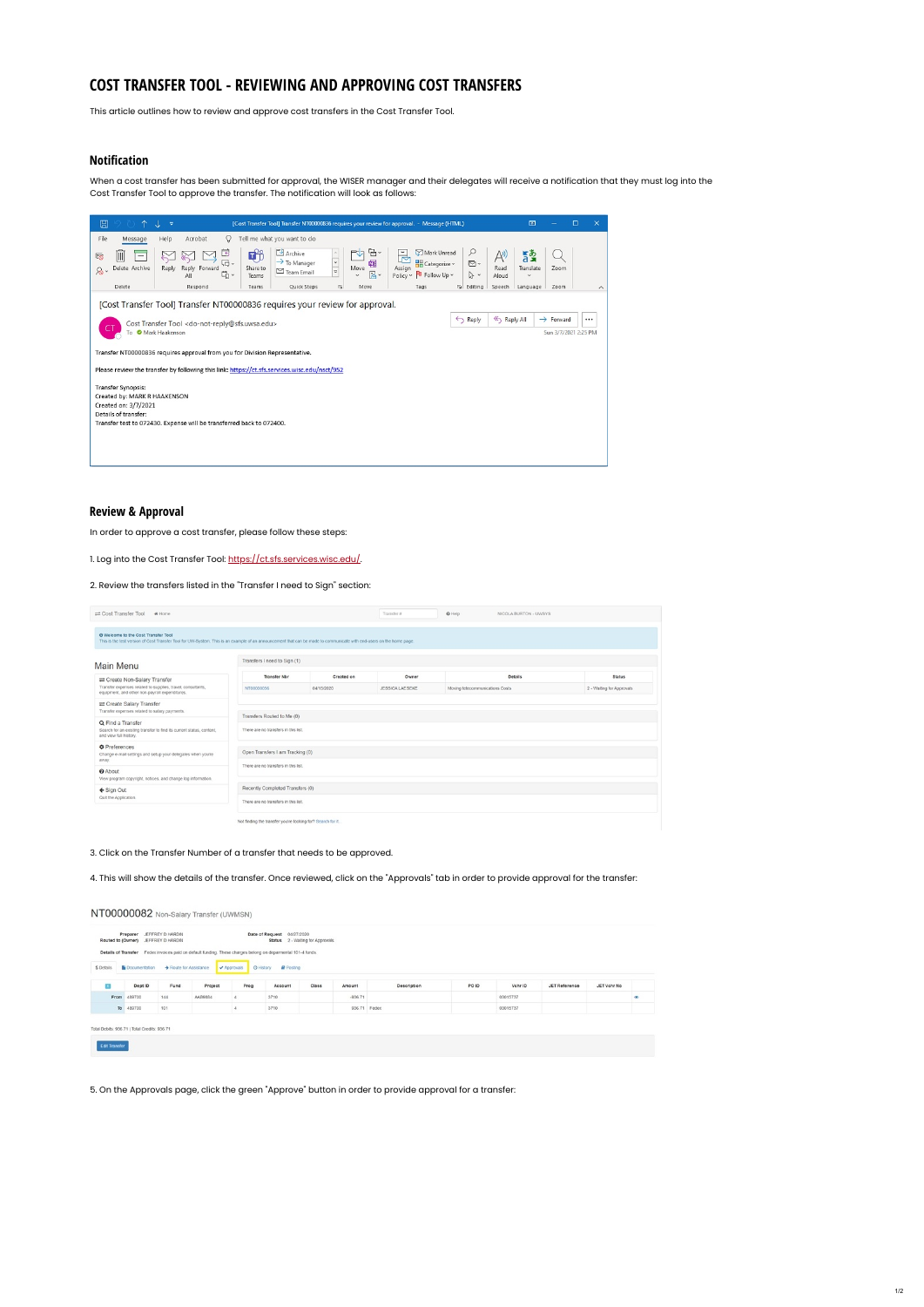## **COST TRANSFER TOOL - REVIEWING AND APPROVING COST TRANSFERS**

This article outlines how to review and approve cost transfers in the Cost Transfer Tool.

## **Notification**

When a cost transfer has been submitted for approval, the WISER manager and their delegates will receive a notification that they must log into the Cost Transfer Tool to approve the transfer. The notification will look as follows:

| $\boxplus$                                                                                         | [Cost Transfer Tool] Transfer NT00000836 requires your review for approval. - Message (HTML)                                                                                                                                                                                                                                                                                                                                                                                                                               | 団                                                      |                                               |                     |
|----------------------------------------------------------------------------------------------------|----------------------------------------------------------------------------------------------------------------------------------------------------------------------------------------------------------------------------------------------------------------------------------------------------------------------------------------------------------------------------------------------------------------------------------------------------------------------------------------------------------------------------|--------------------------------------------------------|-----------------------------------------------|---------------------|
| File<br>Message<br>III<br>7<br>-<br>Delete Archive<br>$\delta$<br>Delete                           | Tell me what you want to do<br>Help<br>Acrobat<br>Q<br>e.<br><b>D</b> Archive<br>Mark Unread<br>丐<br><b>u</b><br>₽<br>₩<br>Ħ<br>A)<br>$\rightarrow$ To Manager<br>$\check{~}$<br>啯<br><b>H</b> Categorize v<br>ロ~<br>M۰<br>Assign<br>Reply Forward<br>Move<br>Share to<br>Reply<br>Read<br>$\overline{a}$<br>$\triangleright$ Team Email<br>่ 5<br>뤔~<br>Policy v U Follow Up v<br>$\checkmark$<br>ヴィ<br>All<br>Aloud<br>Teams<br>同<br>Quick Steps<br>$\overline{b}$ Editing<br>Respond<br>Teams<br>Move<br>Tags<br>Speech | $\frac{1}{2}$<br>Translate<br>$\checkmark$<br>Language | Zoom<br>Zoom                                  | $\hat{\phantom{a}}$ |
| Transfer Synopsis:<br>Created by: MARK R HAAKENSON<br>Created on: 3/7/2021<br>Details of transfer: | [Cost Transfer Tool] Transfer NT00000836 requires your review for approval.<br><br>Reply All<br>Reply<br>Cost Transfer Tool <do-not-reply@sfs.uwsa.edu><br>To Mark Haakenson<br/>Transfer NT00000836 requires approval from you for Division Representative.<br/>Please review the transfer by following this link: https://ct.sfs.services.wisc.edu/nsct/952<br/>Transfer test to 072430. Expense will be transferred back to 072400.</br></do-not-reply@sfs.uwsa.edu>                                                    |                                                        | $\rightarrow$ Forward<br>Sun 3/7/2021 2:25 PM |                     |

## **Review & Approval**

In order to approve a cost transfer, please follow these steps:

1. Log into the Cost Transfer Tool: [https://ct.sfs.services.wisc.edu/.](https://ct.sfs.services.wisc.edu/)

2. Review the transfers listed in the "Transfer I need to Sign" section:

| Cost Transfer Tool<br># Home                                                                                                                                                                                |                              |            | Transfer #      | O Help<br>NICOLA BURTON - UWSYS |                           |
|-------------------------------------------------------------------------------------------------------------------------------------------------------------------------------------------------------------|------------------------------|------------|-----------------|---------------------------------|---------------------------|
| O Welcome to the Cost Transfer Tool<br>This is the test version of Cost Transfer Tool for UW-System. This is an example of an announcement that can be made to communicate with end-users on the home page. |                              |            |                 |                                 |                           |
| Main Menu                                                                                                                                                                                                   | Transfers I need to Sign (1) |            |                 |                                 |                           |
| Create Non-Salary Transfer                                                                                                                                                                                  | Transfer Nbr                 | Created on | Owner           | <b>Details</b>                  | <b>Status</b>             |
| Transfer expenses related to supplies, travel, consultants,<br>equipment, and other non-payroll expenditures.                                                                                               | NT00000056                   | 04/15/2020 | JESSICA LAESEKE | Moving telecommunications Costs | 2 - Waiting for Approvals |

| Create Salary Transfer                                                                         |                                                            |
|------------------------------------------------------------------------------------------------|------------------------------------------------------------|
| Transfer expenses related to salary payments.                                                  |                                                            |
|                                                                                                | Transfers Routed to Me (0)                                 |
| Q Find a Transfer                                                                              |                                                            |
| Search for an existing transfer to find its current status, content,<br>and view full history. | There are no transfers in this list.                       |
| <b>O</b> Preferences                                                                           |                                                            |
| Change e-mail settings and setup your delegates when you're                                    | Open Transfers I am Tracking (0)                           |
| away.                                                                                          |                                                            |
| <b>O</b> About                                                                                 | There are no transfers in this list.                       |
| View program copyright, notices, and change log information.                                   |                                                            |
|                                                                                                |                                                            |
| ← Sign Out                                                                                     | Recently Completed Transfers (0)                           |
| Quit the Application.                                                                          | There are no transfers in this list.                       |
|                                                                                                |                                                            |
|                                                                                                | Not finding the transfer you're looking for? Search for it |
|                                                                                                |                                                            |

## 3. Click on the Transfer Number of a transfer that needs to be approved.

4. This will show the details of the transfer. Once reviewed, click on the "Approvals" tab in order to provide approval for the transfer:

|            | Preparer<br>Routed to (Owner) JEFFREY D HARDIN | JEFFREY D HARDIN     |                                                                                                              |           | Date of Request 04/27/2020 | Status 2 - Waiting for Approvals |           |              |       |          |               |             |    |
|------------|------------------------------------------------|----------------------|--------------------------------------------------------------------------------------------------------------|-----------|----------------------------|----------------------------------|-----------|--------------|-------|----------|---------------|-------------|----|
|            |                                                |                      | Details of Transfer Fedex invoices paid on default funding. These charges belong on deparmental 101-4 funds. |           |                            |                                  |           |              |       |          |               |             |    |
| \$ Details | Documentation                                  | Route for Assistance |                                                                                                              | Approvals | C History<br>Posting       |                                  |           |              |       |          |               |             |    |
| Œ          | Dept ID                                        | Fund                 | Project                                                                                                      | Prog      | Account                    | Class                            | Amount    | Description  | PO ID | Vchr ID  | JET Reference | JET Vchr No |    |
| From       | 489700                                         | 144                  | AAB9684                                                                                                      |           | 3710                       |                                  | $-936.71$ |              |       | 03015737 |               |             | œ. |
|            | To 489700                                      | 101                  |                                                                                                              |           | 3710                       |                                  |           | 936.71 Fedex |       | 03015737 |               |             |    |

5. On the Approvals page, click the green "Approve" button in order to provide approval for a transfer: